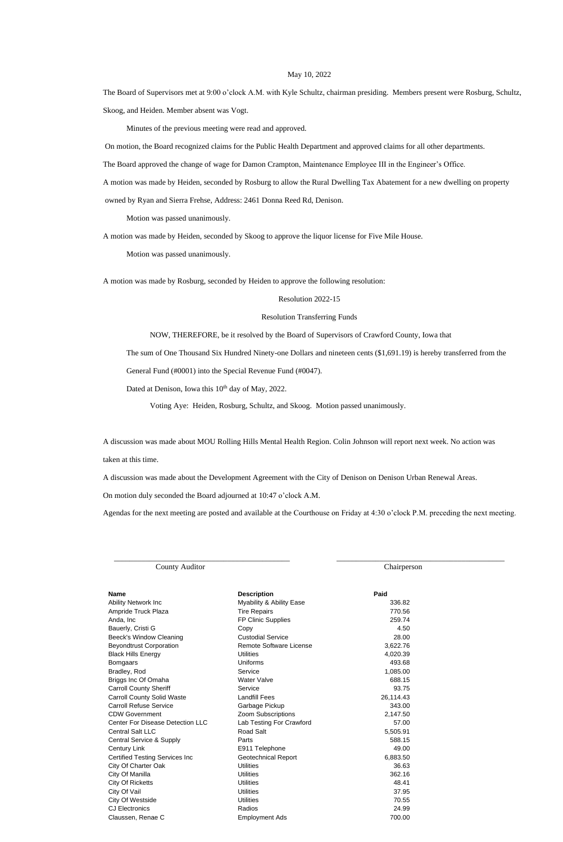## May 10, 2022

The Board of Supervisors met at 9:00 o'clock A.M. with Kyle Schultz, chairman presiding. Members present were Rosburg, Schultz, Skoog, and Heiden. Member absent was Vogt.

Minutes of the previous meeting were read and approved.

On motion, the Board recognized claims for the Public Health Department and approved claims for all other departments.

The Board approved the change of wage for Damon Crampton, Maintenance Employee III in the Engineer's Office.

A motion was made by Heiden, seconded by Rosburg to allow the Rural Dwelling Tax Abatement for a new dwelling on property

owned by Ryan and Sierra Frehse, Address: 2461 Donna Reed Rd, Denison.

Motion was passed unanimously.

A motion was made by Heiden, seconded by Skoog to approve the liquor license for Five Mile House.

Motion was passed unanimously.

A motion was made by Rosburg, seconded by Heiden to approve the following resolution:

Resolution 2022-15

## Resolution Transferring Funds

NOW, THEREFORE, be it resolved by the Board of Supervisors of Crawford County, Iowa that

The sum of One Thousand Six Hundred Ninety-one Dollars and nineteen cents (\$1,691.19) is hereby transferred from the

General Fund (#0001) into the Special Revenue Fund (#0047).

Dated at Denison, Iowa this 10<sup>th</sup> day of May, 2022.

Voting Aye: Heiden, Rosburg, Schultz, and Skoog. Motion passed unanimously.

A discussion was made about MOU Rolling Hills Mental Health Region. Colin Johnson will report next week. No action was taken at this time.

A discussion was made about the Development Agreement with the City of Denison on Denison Urban Renewal Areas.

On motion duly seconded the Board adjourned at 10:47 o'clock A.M.

Agendas for the next meeting are posted and available at the Courthouse on Friday at 4:30 o'clock P.M. preceding the next meeting.

| Name                                  | <b>Description</b>             | Paid      |
|---------------------------------------|--------------------------------|-----------|
| <b>Ability Network Inc</b>            | Myability & Ability Ease       | 336.82    |
| Ampride Truck Plaza                   | <b>Tire Repairs</b>            | 770.56    |
| Anda, Inc                             | FP Clinic Supplies             | 259.74    |
| Bauerly, Cristi G                     | Copy                           | 4.50      |
| Beeck's Window Cleaning               | <b>Custodial Service</b>       | 28.00     |
| <b>Beyondtrust Corporation</b>        | <b>Remote Software License</b> | 3,622.76  |
| Black Hills Energy                    | <b>Utilities</b>               | 4,020.39  |
| Bomgaars                              | Uniforms                       | 493.68    |
| Bradley, Rod                          | Service                        | 1,085.00  |
| Briggs Inc Of Omaha                   | <b>Water Valve</b>             | 688.15    |
| <b>Carroll County Sheriff</b>         | Service                        | 93.75     |
| <b>Carroll County Solid Waste</b>     | <b>Landfill Fees</b>           | 26,114.43 |
| <b>Carroll Refuse Service</b>         | Garbage Pickup                 | 343.00    |
| <b>CDW Government</b>                 | Zoom Subscriptions             | 2,147.50  |
| Center For Disease Detection LLC      | Lab Testing For Crawford       | 57.00     |
| Central Salt LLC                      | <b>Road Salt</b>               | 5,505.91  |
| Central Service & Supply              | Parts                          | 588.15    |
| Century Link                          | E911 Telephone                 | 49.00     |
| <b>Certified Testing Services Inc</b> | <b>Geotechnical Report</b>     | 6,883.50  |
| City Of Charter Oak                   | <b>Utilities</b>               | 36.63     |
| City Of Manilla                       | <b>Utilities</b>               | 362.16    |
| City Of Ricketts                      | <b>Utilities</b>               | 48.41     |
| City Of Vail                          | <b>Utilities</b>               | 37.95     |
| City Of Westside                      | <b>Utilities</b>               | 70.55     |
| <b>CJ Electronics</b>                 | Radios                         | 24.99     |
| Claussen, Renae C                     | <b>Employment Ads</b>          | 700.00    |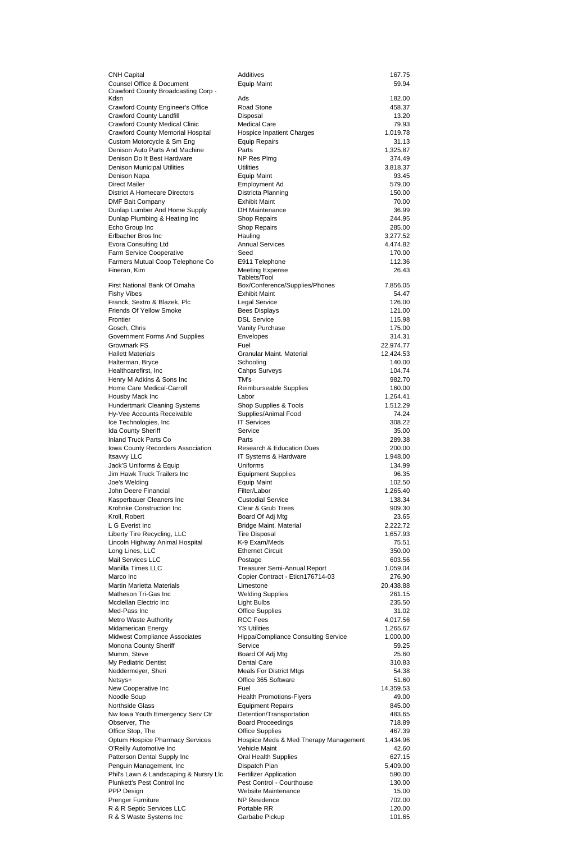| <b>CNH Capital</b>                       | Additives                                  | 167.75    |
|------------------------------------------|--------------------------------------------|-----------|
| <b>Counsel Office &amp; Document</b>     | <b>Equip Maint</b>                         | 59.94     |
| Crawford County Broadcasting Corp -      |                                            |           |
| Kdsn                                     | Ads                                        | 182.00    |
| <b>Crawford County Engineer's Office</b> | Road Stone                                 | 458.37    |
| <b>Crawford County Landfill</b>          | Disposal                                   | 13.20     |
| <b>Crawford County Medical Clinic</b>    | <b>Medical Care</b>                        | 79.93     |
| <b>Crawford County Memorial Hospital</b> | <b>Hospice Inpatient Charges</b>           | 1,019.78  |
| Custom Motorcycle & Sm Eng               | <b>Equip Repairs</b>                       | 31.13     |
| Denison Auto Parts And Machine           | Parts                                      | 1,325.87  |
| Denison Do It Best Hardware              | NP Res Plmg                                | 374.49    |
| <b>Denison Municipal Utilities</b>       | <b>Utilities</b>                           | 3,818.37  |
| Denison Napa                             | <b>Equip Maint</b>                         | 93.45     |
| <b>Direct Mailer</b>                     | <b>Employment Ad</b>                       | 579.00    |
| <b>District A Homecare Directors</b>     | Districta Planning                         | 150.00    |
| <b>DMF Bait Company</b>                  | <b>Exhibit Maint</b>                       | 70.00     |
| Dunlap Lumber And Home Supply            | <b>DH</b> Maintenance                      | 36.99     |
| Dunlap Plumbing & Heating Inc            | <b>Shop Repairs</b>                        | 244.95    |
| Echo Group Inc                           | <b>Shop Repairs</b>                        | 285.00    |
| Erlbacher Bros Inc                       | Hauling                                    | 3,277.52  |
| <b>Evora Consulting Ltd</b>              | <b>Annual Services</b>                     | 4,474.82  |
| Farm Service Cooperative                 | Seed                                       | 170.00    |
| Farmers Mutual Coop Telephone Co         | E911 Telephone                             | 112.36    |
| Fineran, Kim                             | <b>Meeting Expense</b>                     | 26.43     |
|                                          | Tablets/Tool                               |           |
| First National Bank Of Omaha             | Box/Conference/Supplies/Phones             | 7,856.05  |
| <b>Fishy Vibes</b>                       | <b>Exhibit Maint</b>                       | 54.47     |
| Franck, Sextro & Blazek, Plc             | Legal Service                              | 126.00    |
| <b>Friends Of Yellow Smoke</b>           | <b>Bees Displays</b>                       | 121.00    |
| Frontier                                 | <b>DSL Service</b>                         | 115.98    |
| Gosch, Chris                             | Vanity Purchase                            | 175.00    |
| <b>Government Forms And Supplies</b>     | Envelopes                                  | 314.31    |
| <b>Growmark FS</b>                       | Fuel                                       | 22,974.77 |
| <b>Hallett Materials</b>                 | <b>Granular Maint. Material</b>            | 12,424.53 |
| Halterman, Bryce                         | Schooling                                  | 140.00    |
| Healthcarefirst, Inc.                    | <b>Cahps Surveys</b>                       | 104.74    |
| Henry M Adkins & Sons Inc                | TM's                                       | 982.70    |
| Home Care Medical-Carroll                | Reimburseable Supplies                     | 160.00    |
| Housby Mack Inc                          | Labor                                      | 1,264.41  |
| <b>Hundertmark Cleaning Systems</b>      | Shop Supplies & Tools                      | 1,512.29  |
| Hy-Vee Accounts Receivable               | Supplies/Animal Food                       | 74.24     |
| Ice Technologies, Inc                    | <b>IT Services</b>                         | 308.22    |
| <b>Ida County Sheriff</b>                | Service                                    | 35.00     |
| <b>Inland Truck Parts Co</b>             | Parts                                      | 289.38    |
| Iowa County Recorders Association        | <b>Research &amp; Education Dues</b>       | 200.00    |
| <b>Itsavvy LLC</b>                       | IT Systems & Hardware                      | 1,948.00  |
| Jack'S Uniforms & Equip                  | Uniforms                                   | 134.99    |
| Jim Hawk Truck Trailers Inc              | <b>Equipment Supplies</b>                  | 96.35     |
| Joe's Welding                            | <b>Equip Maint</b>                         | 102.50    |
| John Deere Financial                     | Filter/Labor                               | 1,265.40  |
| Kasperbauer Cleaners Inc                 | <b>Custodial Service</b>                   | 138.34    |
| Krohnke Construction Inc                 | Clear & Grub Trees                         | 909.30    |
| Kroll, Robert                            | Board Of Adj Mtg                           | 23.65     |
| L G Everist Inc                          | <b>Bridge Maint. Material</b>              | 2,222.72  |
| Liberty Tire Recycling, LLC              | <b>Tire Disposal</b>                       | 1,657.93  |
| Lincoln Highway Animal Hospital          | K-9 Exam/Meds                              | 75.51     |
| Long Lines, LLC                          | <b>Ethernet Circuit</b>                    | 350.00    |
| Mail Services LLC                        | Postage                                    | 603.56    |
| <b>Manilla Times LLC</b>                 | Treasurer Semi-Annual Report               | 1,059.04  |
| Marco Inc                                | Copier Contract - Eticn176714-03           | 276.90    |
| <b>Martin Marietta Materials</b>         | Limestone                                  | 20,438.88 |
| Matheson Tri-Gas Inc                     | <b>Welding Supplies</b>                    | 261.15    |
| <b>Mcclellan Electric Inc.</b>           | <b>Light Bulbs</b>                         | 235.50    |
| Med-Pass Inc                             | <b>Office Supplies</b>                     | 31.02     |
| Metro Waste Authority                    | <b>RCC Fees</b>                            | 4,017.56  |
| Midamerican Energy                       | <b>YS Utilities</b>                        | 1,265.67  |
| <b>Midwest Compliance Associates</b>     | <b>Hippa/Compliance Consulting Service</b> | 1,000.00  |
| Monona County Sheriff                    | Service                                    | 59.25     |
| Mumm, Steve                              | Board Of Adj Mtg                           | 25.60     |
| My Pediatric Dentist                     | <b>Dental Care</b>                         | 310.83    |
| Neddermeyer, Sheri                       | <b>Meals For District Mtgs</b>             | 54.38     |
| Netsys+                                  | Office 365 Software                        | 51.60     |
| New Cooperative Inc                      | Fuel                                       | 14,359.53 |
| Noodle Soup                              | <b>Health Promotions-Flyers</b>            | 49.00     |
| <b>Northside Glass</b>                   | <b>Equipment Repairs</b>                   | 845.00    |
| Nw Iowa Youth Emergency Serv Ctr         | Detention/Transportation                   | 483.65    |
| Observer, The                            | <b>Board Proceedings</b>                   | 718.89    |
| Office Stop, The                         | <b>Office Supplies</b>                     | 467.39    |
| <b>Optum Hospice Pharmacy Services</b>   | Hospice Meds & Med Therapy Management      | 1,434.96  |
| O'Reilly Automotive Inc                  | Vehicle Maint                              | 42.60     |
| Patterson Dental Supply Inc              | <b>Oral Health Supplies</b>                | 627.15    |
| Penguin Management, Inc                  | Dispatch Plan                              | 5,409.00  |
| Phil's Lawn & Landscaping & Nursry Llc   | <b>Fertilizer Application</b>              | 590.00    |
| Plunkett's Pest Control Inc              | Pest Control - Courthouse                  | 130.00    |
| PPP Design                               | <b>Website Maintenance</b>                 | 15.00     |
| <b>Prenger Furniture</b>                 | <b>NP Residence</b>                        | 702.00    |
| R & R Septic Services LLC                | Portable RR                                | 120.00    |
|                                          | Garbabe Pickup                             | 101.65    |